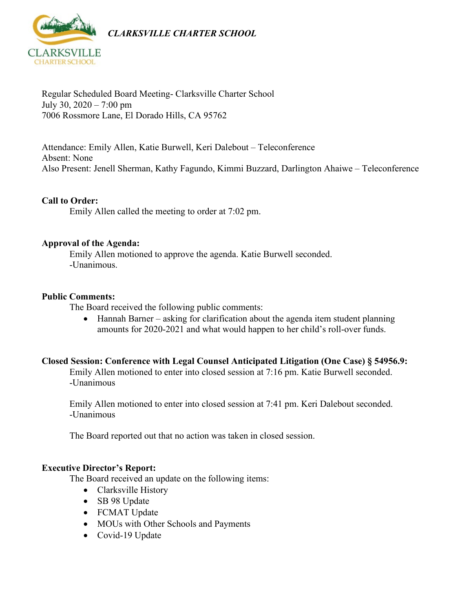

*CLARKSVILLE CHARTER SCHOOL*

Regular Scheduled Board Meeting- Clarksville Charter School July 30,  $2020 - 7:00$  pm 7006 Rossmore Lane, El Dorado Hills, CA 95762

Attendance: Emily Allen, Katie Burwell, Keri Dalebout – Teleconference Absent: None Also Present: Jenell Sherman, Kathy Fagundo, Kimmi Buzzard, Darlington Ahaiwe – Teleconference

## **Call to Order:**

Emily Allen called the meeting to order at 7:02 pm.

### **Approval of the Agenda:**

Emily Allen motioned to approve the agenda. Katie Burwell seconded. -Unanimous.

#### **Public Comments:**

The Board received the following public comments:

• Hannah Barner – asking for clarification about the agenda item student planning amounts for 2020-2021 and what would happen to her child's roll-over funds.

### **Closed Session: Conference with Legal Counsel Anticipated Litigation (One Case) § 54956.9:**

Emily Allen motioned to enter into closed session at 7:16 pm. Katie Burwell seconded. -Unanimous

Emily Allen motioned to enter into closed session at 7:41 pm. Keri Dalebout seconded. -Unanimous

The Board reported out that no action was taken in closed session.

### **Executive Director's Report:**

The Board received an update on the following items:

- Clarksville History
- SB 98 Update
- FCMAT Update
- MOUs with Other Schools and Payments
- Covid-19 Update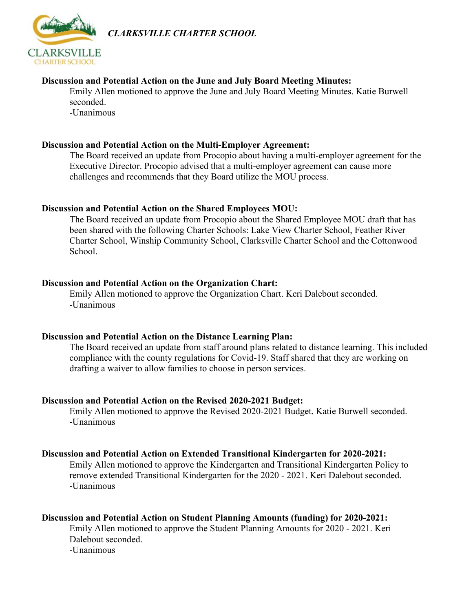

*CLARKSVILLE CHARTER SCHOOL*

# **Discussion and Potential Action on the June and July Board Meeting Minutes:**

Emily Allen motioned to approve the June and July Board Meeting Minutes. Katie Burwell seconded.

-Unanimous

#### **Discussion and Potential Action on the Multi-Employer Agreement:**

The Board received an update from Procopio about having a multi-employer agreement for the Executive Director. Procopio advised that a multi-employer agreement can cause more challenges and recommends that they Board utilize the MOU process.

### **Discussion and Potential Action on the Shared Employees MOU:**

The Board received an update from Procopio about the Shared Employee MOU draft that has been shared with the following Charter Schools: Lake View Charter School, Feather River Charter School, Winship Community School, Clarksville Charter School and the Cottonwood School.

#### **Discussion and Potential Action on the Organization Chart:**

Emily Allen motioned to approve the Organization Chart. Keri Dalebout seconded. -Unanimous

### **Discussion and Potential Action on the Distance Learning Plan:**

The Board received an update from staff around plans related to distance learning. This included compliance with the county regulations for Covid-19. Staff shared that they are working on drafting a waiver to allow families to choose in person services.

### **Discussion and Potential Action on the Revised 2020-2021 Budget:**

Emily Allen motioned to approve the Revised 2020-2021 Budget. Katie Burwell seconded. -Unanimous

### **Discussion and Potential Action on Extended Transitional Kindergarten for 2020-2021:**

Emily Allen motioned to approve the Kindergarten and Transitional Kindergarten Policy to remove extended Transitional Kindergarten for the 2020 - 2021. Keri Dalebout seconded. -Unanimous

# **Discussion and Potential Action on Student Planning Amounts (funding) for 2020-2021:**

Emily Allen motioned to approve the Student Planning Amounts for 2020 - 2021. Keri Dalebout seconded.

-Unanimous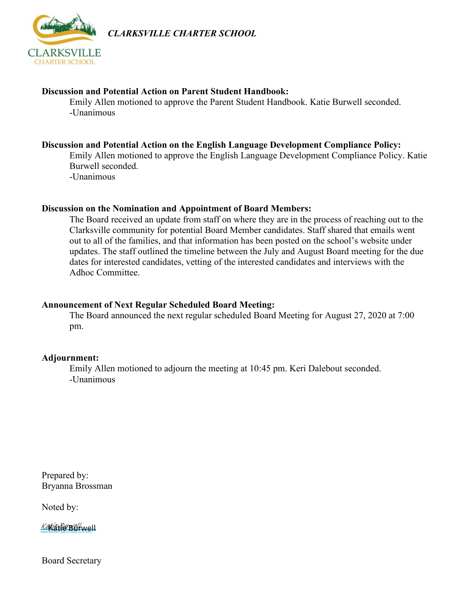

*CLARKSVILLE CHARTER SCHOOL*

#### **Discussion and Potential Action on Parent Student Handbook:**

Emily Allen motioned to approve the Parent Student Handbook. Katie Burwell seconded. -Unanimous

### **Discussion and Potential Action on the English Language Development Compliance Policy:**

Emily Allen motioned to approve the English Language Development Compliance Policy. Katie Burwell seconded.

-Unanimous

#### **Discussion on the Nomination and Appointment of Board Members:**

The Board received an update from staff on where they are in the process of reaching out to the Clarksville community for potential Board Member candidates. Staff shared that emails went out to all of the families, and that information has been posted on the school's website under updates. The staff outlined the timeline between the July and August Board meeting for the due dates for interested candidates, vetting of the interested candidates and interviews with the Adhoc Committee.

#### **Announcement of Next Regular Scheduled Board Meeting:**

The Board announced the next regular scheduled Board Meeting for August 27, 2020 at 7:00 pm.

#### **Adjournment:**

Emily Allen motioned to adjourn the meeting at 10:45 pm. Keri Dalebout seconded. -Unanimous

Prepared by: Bryanna Brossman

Noted by:

Katie Burwell (Sep 23, 2020 22:41 PDT) Kakia tike Bellwell

Board Secretary